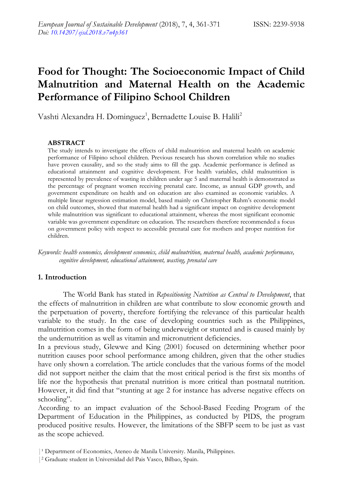# **Food for Thought: The Socioeconomic Impact of Child Malnutrition and Maternal Health on the Academic Performance of Filipino School Children**

Vashti Alexandra H. Dominguez<sup>1</sup>, Bernadette Louise B. Halili<sup>2</sup>

#### **ABSTRACT**

The study intends to investigate the effects of child malnutrition and maternal health on academic performance of Filipino school children. Previous research has shown correlation while no studies have proven causality, and so the study aims to fill the gap. Academic performance is defined as educational attainment and cognitive development. For health variables, child malnutrition is represented by prevalence of wasting in children under age 5 and maternal health is demonstrated as the percentage of pregnant women receiving prenatal care. Income, as annual GDP growth, and government expenditure on health and on education are also examined as economic variables. A multiple linear regression estimation model, based mainly on Christopher Ruhm"s economic model on child outcomes, showed that maternal health had a significant impact on cognitive development while malnutrition was significant to educational attainment, whereas the most significant economic variable was government expenditure on education. The researchers therefore recommended a focus on government policy with respect to accessible prenatal care for mothers and proper nutrition for children.

*Keywords: health economics, development economics, child malnutrition, maternal health, academic performance, cognitive development, educational attainment, wasting, prenatal care*

#### **1. Introduction**

The World Bank has stated in *Repositioning Nutrition as Central to Development*, that the effects of malnutrition in children are what contribute to slow economic growth and the perpetuation of poverty, therefore fortifying the relevance of this particular health variable to the study. In the case of developing countries such as the Philippines, malnutrition comes in the form of being underweight or stunted and is caused mainly by the undernutrition as well as vitamin and micronutrient deficiencies.

In a previous study, Glewwe and King (2001) focused on determining whether poor nutrition causes poor school performance among children, given that the other studies have only shown a correlation. The article concludes that the various forms of the model did not support neither the claim that the most critical period is the first six months of life nor the hypothesis that prenatal nutrition is more critical than postnatal nutrition. However, it did find that "stunting at age 2 for instance has adverse negative effects on schooling".

According to an impact evaluation of the School-Based Feeding Program of the Department of Education in the Philippines, as conducted by PIDS, the program produced positive results. However, the limitations of the SBFP seem to be just as vast as the scope achieved.

<sup>|&</sup>lt;sup>1</sup> Department of Economics, Ateneo de Manila University. Manila, Philippines.

<sup>|</sup><sup>2</sup> Graduate student in Universidad del Pais Vasco, Bilbao, Spain.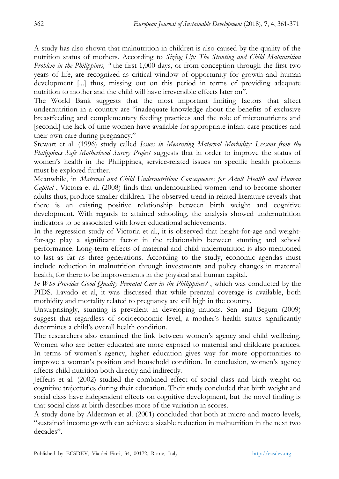A study has also shown that malnutrition in children is also caused by the quality of the nutrition status of mothers. According to *Sizing Up: The Stunting and Child Malnutrition Problem in the Philippines, "* the first 1,000 days, or from conception through the first two years of life, are recognized as critical window of opportunity for growth and human development [...] thus, missing out on this period in terms of providing adequate nutrition to mother and the child will have irreversible effects later on".

The World Bank suggests that the most important limiting factors that affect undernutrition in a country are "inadequate knowledge about the benefits of exclusive breastfeeding and complementary feeding practices and the role of micronutrients and [second,] the lack of time women have available for appropriate infant care practices and their own care during pregnancy."

Stewart et al. (1996) study called *Issues in Measuring Maternal Morbidity: Lessons from the Philippines Safe Motherhood Survey Project* suggests that in order to improve the status of women"s health in the Philippines, service-related issues on specific health problems must be explored further.

Meanwhile, in *Maternal and Child Undernutrition: Consequences for Adult Health and Human Capital* , Victora et al. (2008) finds that undernourished women tend to become shorter adults thus, produce smaller children. The observed trend in related literature reveals that there is an existing positive relationship between birth weight and cognitive development. With regards to attained schooling, the analysis showed undernutrition indicators to be associated with lower educational achievements.

In the regression study of Victoria et al., it is observed that height-for-age and weightfor-age play a significant factor in the relationship between stunting and school performance. Long-term effects of maternal and child undernutrition is also mentioned to last as far as three generations. According to the study, economic agendas must include reduction in malnutrition through investments and policy changes in maternal health, for there to be improvements in the physical and human capital.

*In Who Provides Good Quality Prenatal Care in the Philippines?* , which was conducted by the PIDS. Lavado et al, it was discussed that while prenatal coverage is available, both morbidity and mortality related to pregnancy are still high in the country.

Unsurprisingly, stunting is prevalent in developing nations. Sen and Begum (2009) suggest that regardless of socioeconomic level, a mother's health status significantly determines a child"s overall health condition.

The researchers also examined the link between women's agency and child wellbeing. Women who are better educated are more exposed to maternal and childcare practices. In terms of women"s agency, higher education gives way for more opportunities to improve a woman"s position and household condition. In conclusion, women"s agency affects child nutrition both directly and indirectly.

Jefferis et al. (2002) studied the combined effect of social class and birth weight on cognitive trajectories during their education. Their study concluded that birth weight and social class have independent effects on cognitive development, but the novel finding is that social class at birth describes more of the variation in scores.

A study done by Alderman et al. (2001) concluded that both at micro and macro levels, "sustained income growth can achieve a sizable reduction in malnutrition in the next two decades".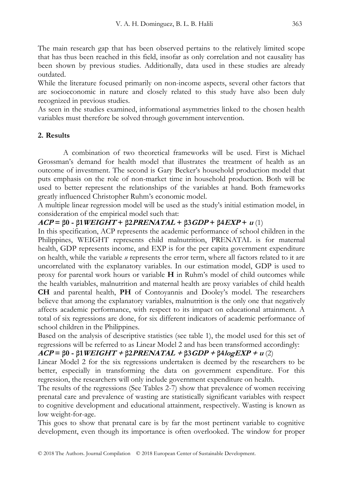The main research gap that has been observed pertains to the relatively limited scope that has thus been reached in this field, insofar as only correlation and not causality has been shown by previous studies. Additionally, data used in these studies are already outdated.

While the literature focused primarily on non-income aspects, several other factors that are socioeconomic in nature and closely related to this study have also been duly recognized in previous studies.

As seen in the studies examined, informational asymmetries linked to the chosen health variables must therefore be solved through government intervention.

# **2. Results**

A combination of two theoretical frameworks will be used. First is Michael Grossman"s demand for health model that illustrates the treatment of health as an outcome of investment. The second is Gary Becker"s household production model that puts emphasis on the role of non-market time in household production. Both will be used to better represent the relationships of the variables at hand. Both frameworks greatly influenced Christopher Ruhm"s economic model.

A multiple linear regression model will be used as the study"s initial estimation model, in consideration of the empirical model such that:

# **ACP** =  $\beta$ 0 **-**  $\beta$ 1WEIGHT +  $\beta$ 2PRENATAL +  $\beta$ 3GDP +  $\beta$ 4EXP +  $u$  (1)

In this specification, ACP represents the academic performance of school children in the Philippines, WEIGHT represents child malnutrition, PRENATAL is for maternal health, GDP represents income, and EXP is for the per capita government expenditure on health, while the variable *u* represents the error term, where all factors related to it are uncorrelated with the explanatory variables. In our estimation model, GDP is used to proxy for parental work hours or variable **H** in Ruhm"s model of child outcomes while the health variables, malnutrition and maternal health are proxy variables of child health **CH** and parental health, **PH** of Contoyannis and Dooley"s model. The researchers believe that among the explanatory variables, malnutrition is the only one that negatively affects academic performance, with respect to its impact on educational attainment. A total of six regressions are done, for six different indicators of academic performance of school children in the Philippines.

Based on the analysis of descriptive statistics (see table 1), the model used for this set of regressions will be referred to as Linear Model 2 and has been transformed accordingly:

# **ACP = β0 - β1WEIGHT + β2PRENATAL + β3GDP + β4logEXP + u** (2)

Linear Model 2 for the six regressions undertaken is deemed by the researchers to be better, especially in transforming the data on government expenditure. For this regression, the researchers will only include government expenditure on health.

The results of the regressions (See Tables 2-7) show that prevalence of women receiving prenatal care and prevalence of wasting are statistically significant variables with respect to cognitive development and educational attainment, respectively. Wasting is known as low weight-for-age.

This goes to show that prenatal care is by far the most pertinent variable to cognitive development, even though its importance is often overlooked. The window for proper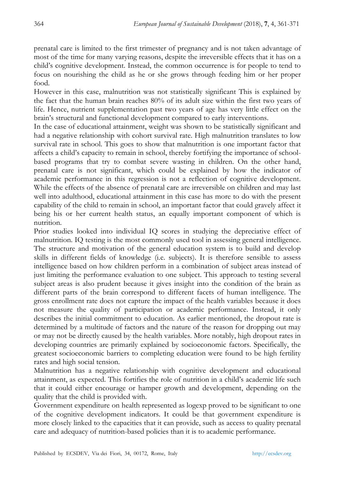prenatal care is limited to the first trimester of pregnancy and is not taken advantage of most of the time for many varying reasons, despite the irreversible effects that it has on a child"s cognitive development. Instead, the common occurrence is for people to tend to focus on nourishing the child as he or she grows through feeding him or her proper food.

However in this case, malnutrition was not statistically significant This is explained by the fact that the human brain reaches 80% of its adult size within the first two years of life. Hence, nutrient supplementation past two years of age has very little effect on the brain"s structural and functional development compared to early interventions.

In the case of educational attainment, weight was shown to be statistically significant and had a negative relationship with cohort survival rate. High malnutrition translates to low survival rate in school. This goes to show that malnutrition is one important factor that affects a child"s capacity to remain in school, thereby fortifying the importance of schoolbased programs that try to combat severe wasting in children. On the other hand, prenatal care is not significant, which could be explained by how the indicator of academic performance in this regression is not a reflection of cognitive development. While the effects of the absence of prenatal care are irreversible on children and may last well into adulthood, educational attainment in this case has more to do with the present capability of the child to remain in school, an important factor that could gravely affect it being his or her current health status, an equally important component of which is nutrition.

Prior studies looked into individual IQ scores in studying the depreciative effect of malnutrition. IQ testing is the most commonly used tool in assessing general intelligence. The structure and motivation of the general education system is to build and develop skills in different fields of knowledge (i.e. subjects). It is therefore sensible to assess intelligence based on how children perform in a combination of subject areas instead of just limiting the performance evaluation to one subject. This approach to testing several subject areas is also prudent because it gives insight into the condition of the brain as different parts of the brain correspond to different facets of human intelligence. The gross enrollment rate does not capture the impact of the health variables because it does not measure the quality of participation or academic performance. Instead, it only describes the initial commitment to education. As earlier mentioned, the dropout rate is determined by a multitude of factors and the nature of the reason for dropping out may or may not be directly caused by the health variables. More notably, high dropout rates in developing countries are primarily explained by socioeconomic factors. Specifically, the greatest socioeconomic barriers to completing education were found to be high fertility rates and high social tension.

Malnutrition has a negative relationship with cognitive development and educational attainment, as expected. This fortifies the role of nutrition in a child"s academic life such that it could either encourage or hamper growth and development, depending on the quality that the child is provided with.

Government expenditure on health represented as logexp proved to be significant to one of the cognitive development indicators. It could be that government expenditure is more closely linked to the capacities that it can provide, such as access to quality prenatal care and adequacy of nutrition-based policies than it is to academic performance.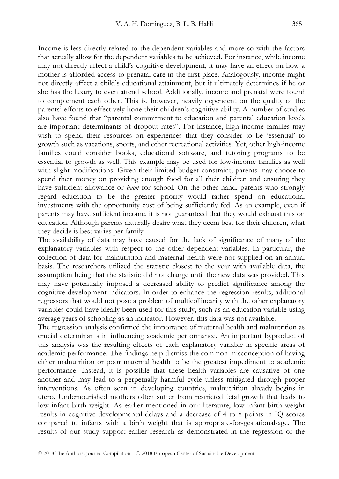Income is less directly related to the dependent variables and more so with the factors that actually allow for the dependent variables to be achieved. For instance, while income may not directly affect a child"s cognitive development, it may have an effect on how a mother is afforded access to prenatal care in the first place. Analogously, income might not directly affect a child"s educational attainment, but it ultimately determines if he or she has the luxury to even attend school. Additionally, income and prenatal were found to complement each other. This is, however, heavily dependent on the quality of the parents" efforts to effectively hone their children"s cognitive ability. A number of studies also have found that "parental commitment to education and parental education levels are important determinants of dropout rates". For instance, high-income families may wish to spend their resources on experiences that they consider to be "essential" to growth such as vacations, sports, and other recreational activities. Yet, other high-income families could consider books, educational software, and tutoring programs to be essential to growth as well. This example may be used for low-income families as well with slight modifications. Given their limited budget constraint, parents may choose to spend their money on providing enough food for all their children and ensuring they have sufficient allowance or *baon* for school. On the other hand, parents who strongly regard education to be the greater priority would rather spend on educational investments with the opportunity cost of being sufficiently fed. As an example, even if parents may have sufficient income, it is not guaranteed that they would exhaust this on education. Although parents naturally desire what they deem best for their children, what they decide is best varies per family.

The availability of data may have caused for the lack of significance of many of the explanatory variables with respect to the other dependent variables. In particular, the collection of data for malnutrition and maternal health were not supplied on an annual basis. The researchers utilized the statistic closest to the year with available data, the assumption being that the statistic did not change until the new data was provided. This may have potentially imposed a decreased ability to predict significance among the cognitive development indicators. In order to enhance the regression results, additional regressors that would not pose a problem of multicollinearity with the other explanatory variables could have ideally been used for this study, such as an education variable using average years of schooling as an indicator. However, this data was not available.

The regression analysis confirmed the importance of maternal health and malnutrition as crucial determinants in influencing academic performance. An important byproduct of this analysis was the resulting effects of each explanatory variable in specific areas of academic performance. The findings help dismiss the common misconception of having either malnutrition or poor maternal health to be the greatest impediment to academic performance. Instead, it is possible that these health variables are causative of one another and may lead to a perpetually harmful cycle unless mitigated through proper interventions. As often seen in developing countries, malnutrition already begins in utero. Undernourished mothers often suffer from restricted fetal growth that leads to low infant birth weight. As earlier mentioned in our literature, low infant birth weight results in cognitive developmental delays and a decrease of 4 to 8 points in IQ scores compared to infants with a birth weight that is appropriate-for-gestational-age. The results of our study support earlier research as demonstrated in the regression of the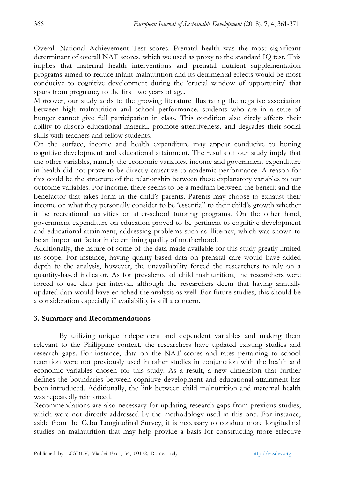Overall National Achievement Test scores. Prenatal health was the most significant determinant of overall NAT scores, which we used as proxy to the standard IQ test. This implies that maternal health interventions and prenatal nutrient supplementation programs aimed to reduce infant malnutrition and its detrimental effects would be most conducive to cognitive development during the "crucial window of opportunity" that spans from pregnancy to the first two years of age.

Moreover, our study adds to the growing literature illustrating the negative association between high malnutrition and school performance. students who are in a state of hunger cannot give full participation in class. This condition also direly affects their ability to absorb educational material, promote attentiveness, and degrades their social skills with teachers and fellow students.

On the surface, income and health expenditure may appear conducive to honing cognitive development and educational attainment. The results of our study imply that the other variables, namely the economic variables, income and government expenditure in health did not prove to be directly causative to academic performance. A reason for this could be the structure of the relationship between these explanatory variables to our outcome variables. For income, there seems to be a medium between the benefit and the benefactor that takes form in the child"s parents. Parents may choose to exhaust their income on what they personally consider to be "essential" to their child"s growth whether it be recreational activities or after-school tutoring programs. On the other hand, government expenditure on education proved to be pertinent to cognitive development and educational attainment, addressing problems such as illiteracy, which was shown to be an important factor in determining quality of motherhood.

Additionally, the nature of some of the data made available for this study greatly limited its scope. For instance, having quality-based data on prenatal care would have added depth to the analysis, however, the unavailability forced the researchers to rely on a quantity-based indicator. As for prevalence of child malnutrition, the researchers were forced to use data per interval, although the researchers deem that having annually updated data would have enriched the analysis as well. For future studies, this should be a consideration especially if availability is still a concern.

## **3. Summary and Recommendations**

By utilizing unique independent and dependent variables and making them relevant to the Philippine context, the researchers have updated existing studies and research gaps. For instance, data on the NAT scores and rates pertaining to school retention were not previously used in other studies in conjunction with the health and economic variables chosen for this study. As a result, a new dimension that further defines the boundaries between cognitive development and educational attainment has been introduced. Additionally, the link between child malnutrition and maternal health was repeatedly reinforced.

Recommendations are also necessary for updating research gaps from previous studies, which were not directly addressed by the methodology used in this one. For instance, aside from the Cebu Longitudinal Survey, it is necessary to conduct more longitudinal studies on malnutrition that may help provide a basis for constructing more effective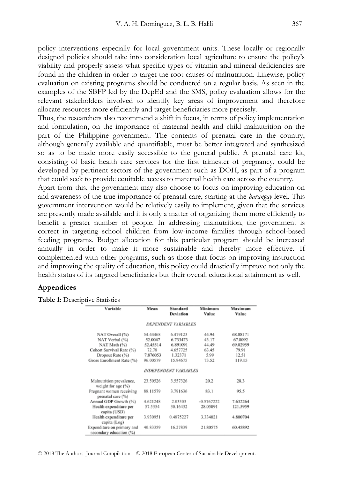policy interventions especially for local government units. These locally or regionally designed policies should take into consideration local agriculture to ensure the policy"s viability and properly assess what specific types of vitamin and mineral deficiencies are found in the children in order to target the root causes of malnutrition. Likewise, policy evaluation on existing programs should be conducted on a regular basis. As seen in the examples of the SBFP led by the DepEd and the SMS, policy evaluation allows for the relevant stakeholders involved to identify key areas of improvement and therefore allocate resources more efficiently and target beneficiaries more precisely.

Thus, the researchers also recommend a shift in focus, in terms of policy implementation and formulation, on the importance of maternal health and child malnutrition on the part of the Philippine government. The contents of prenatal care in the country, although generally available and quantifiable, must be better integrated and synthesized so as to be made more easily accessible to the general public. A prenatal care kit, consisting of basic health care services for the first trimester of pregnancy, could be developed by pertinent sectors of the government such as DOH, as part of a program that could seek to provide equitable access to maternal health care across the country.

Apart from this, the government may also choose to focus on improving education on and awareness of the true importance of prenatal care, starting at the *barangay* level. This government intervention would be relatively easily to implement, given that the services are presently made available and it is only a matter of organizing them more efficiently to benefit a greater number of people. In addressing malnutrition, the government is correct in targeting school children from low-income families through school-based feeding programs. Budget allocation for this particular program should be increased annually in order to make it more sustainable and thereby more effective. If complemented with other programs, such as those that focus on improving instruction and improving the quality of education, this policy could drastically improve not only the health status of its targeted beneficiaries but their overall educational attainment as well.

### **Appendices**

**Table 1:** Descriptive Statistics

| Variable                                              | Mean     | Standard<br>Deviation               | Minimum<br>Value | Maximum<br>Value |
|-------------------------------------------------------|----------|-------------------------------------|------------------|------------------|
|                                                       |          | <b>DEPENDENT VARIABLES</b>          |                  |                  |
| NAT Overall (%)                                       | 54.44468 | 6.479123                            | 44.94            | 68.88171         |
| NAT Verbal (%)                                        | 52.0047  | 6.733473                            | 43.17            | 67.8092          |
| NAT Math (%)                                          | 52.45514 | 6.891091                            | 44.49            | 69.02959         |
| Cohort Survival Rate (%)                              | 72.78    | 4.657725                            | 63.45            | 79.91            |
| Dropout Rate (%)                                      | 7.876053 | 1.32371                             | 5.99             | 12.51            |
| Gross Enrollment Rate (%)                             | 96.00579 | 15.94675                            | 73.52            | 119.15           |
|                                                       |          | <i><b>INDEPENDENT VARIABLES</b></i> |                  |                  |
| Malnutrition prevalence,<br>weight for age (%)        | 23.50526 | 3.557326                            | 20.2             | 28.3             |
| Pregnant women receiving<br>prenatal care (%)         | 88.11579 | 3.791636                            | 83.1             | 95.5             |
| Annual GDP Growth (%)                                 | 4.621248 | 2.03303                             | $-0.5767222$     | 7.632264         |
| Health expenditure per<br>capita (USD)                | 57.5354  | 30.16432                            | 28.05091         | 121.5959         |
| Health expenditure per<br>capita (Log)                | 3.930951 | 0.4875227                           | 3.334021         | 4.800704         |
| Expenditure on primary and<br>secondary education (%) | 40.83359 | 16.27839                            | 21.80575         | 60.45892         |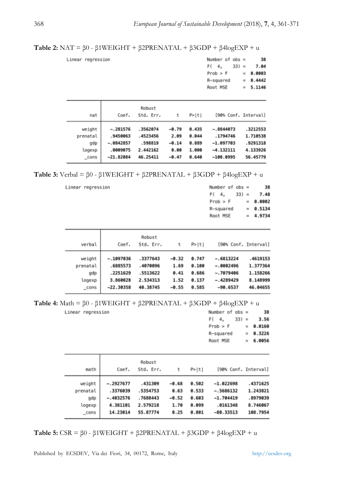**Table 2:** NAT = β0 - β1WEIGHT + β2PRENATAL + β3GDP + β4logEXP + u

| Linear regression | Number of $obs =$ |  | 38                |
|-------------------|-------------------|--|-------------------|
|                   |                   |  | $F(4, 33) = 7.04$ |
|                   | Prob > F          |  | $= 0.0003$        |
|                   | R-squared         |  | $= 0.4442$        |
|                   | Root MSE          |  | $= 5.1146$        |

| nat      | Coef.       | Robust<br>Std. Err. | τ       | P >  t |             | [90% Conf. Interval] |
|----------|-------------|---------------------|---------|--------|-------------|----------------------|
| weight   | $-.281576$  | .3562074            | $-0.79$ | 0.435  | $-.8844073$ | .3212553             |
| prenatal | .9450063    | .4523456            | 2.09    | 0.044  | .1794746    | 1.710538             |
| gdp      | $-.0842857$ | .598819             | $-0.14$ | 0.889  | $-1.097703$ | .9291318             |
| logexp   | .0009075    | 2.442162            | 0.00    | 1.000  | $-4.132111$ | 4.133926             |
| _cons    | $-21.82084$ | 46.25411            | $-0.47$ | 0.640  | $-100.0995$ | 56.45779             |

**Table 3:** Verbal = β0 - β1WEIGHT + β2PRENATAL + β3GDP + β4logEXP + u

Linear regression

Linear regression

|                                             |                                                                |                                                          |                                            |                                           | F (<br>$33) =$<br>4,<br>$Prob$ > $F$<br>R-squared<br>Root MSE          | 7.48<br>0.0002<br>$=$<br>0.5134<br>$=$<br>4.9734<br>$=$  |
|---------------------------------------------|----------------------------------------------------------------|----------------------------------------------------------|--------------------------------------------|-------------------------------------------|------------------------------------------------------------------------|----------------------------------------------------------|
| verbal                                      | Coef.                                                          | Robust<br>Std. Err.                                      | t                                          | P >  t                                    | [90% Conf. Interval]                                                   |                                                          |
| weight<br>prenatal<br>gdp<br>logexp<br>cons | $-.1097036$<br>.6885573<br>.2251629<br>3.860028<br>$-22.30358$ | .3377643<br>.4070096<br>.5513622<br>2.534313<br>40.38745 | $-0.32$<br>1.69<br>0.41<br>1.52<br>$-0.55$ | 0.747<br>0.100<br>0.686<br>0.137<br>0.585 | $-.6813224$<br>$-.0002496$<br>$-.7079406$<br>$-.4289429$<br>$-90.6537$ | .4619153<br>1.377364<br>1.158266<br>8.148999<br>46.04655 |

**Table 4:** Math = β0 - β1WEIGHT + β2PRENATAL + β3GDP + β4logEXP + u

| Number of $obs =$ |          | 38     |
|-------------------|----------|--------|
| $F(4, 33) =$      |          | 3.56   |
| $Prob$ > $F$      | $\equiv$ | 0.0160 |
| R-squared         | $=$      | 0.3226 |
| Root MSE          | $=$      | 6.0056 |
|                   |          |        |

Number of  $obs =$ 

38

| math     | Coef.       | Robust<br>Std. Err. |         | P >  t |             | [90% Conf. Interval] |
|----------|-------------|---------------------|---------|--------|-------------|----------------------|
| weight   | $-.2927677$ | .431309             | $-0.68$ | 0.502  | $-1.022698$ | .4371625             |
| prenatal | .3376039    | .5354753            | 0.63    | 0.533  | $-.5686132$ | 1.243821             |
| gdp      | $-.4032576$ | .7688443            | $-0.52$ | 0.603  | $-1.704419$ | .8979039             |
| logexp   | 4.381101    | 2.579218            | 1.70    | 0.099  | .0161348    | 8.746067             |
| cons     | 14.23014    | 55.87774            | 0.25    | 0.801  | $-80.33513$ | 108.7954             |

**Table 5:** CSR = β0 - β1WEIGHT + β2PRENATAL + β3GDP + β4logEXP + u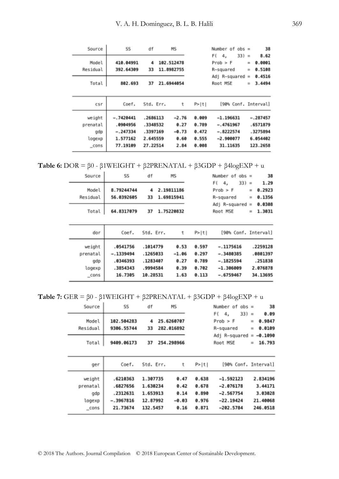| Source                                       | SS                                                            | df                                                       | <b>MS</b>                                  |                                           | Number of $obs =$                                                    |            | 38                                                         |
|----------------------------------------------|---------------------------------------------------------------|----------------------------------------------------------|--------------------------------------------|-------------------------------------------|----------------------------------------------------------------------|------------|------------------------------------------------------------|
| Model<br>Residual                            | 410.04991<br>392.64309                                        | 4<br>33                                                  | 102.512478<br>11.8982755                   |                                           | $33) =$<br>F (<br>4.<br>Proof > F<br>R-squared                       | $=$<br>$=$ | 8.62<br>0.0001<br>0.5108<br>0.4516                         |
| Total                                        | 802.693                                                       | 37                                                       | 21.6944054                                 |                                           | Adj R-squared<br>Root MSE                                            | $=$<br>$=$ | 3.4494                                                     |
| csr                                          | Coef.                                                         | Std. Err.                                                | t                                          | P >  t                                    | [90% Conf. Interval]                                                 |            |                                                            |
| weight<br>prenatal<br>gdp<br>logexp<br>_cons | $-.7420441$<br>.0904956<br>$-.247334$<br>1.577162<br>77.19109 | .2686113<br>.3348532<br>.3397169<br>2.645559<br>27.22514 | $-2.76$<br>0.27<br>$-0.73$<br>0.60<br>2.84 | 0.009<br>0.789<br>0.472<br>0.555<br>0.008 | $-1.196631$<br>$-.4761967$<br>$-.8222574$<br>$-2.900077$<br>31.11635 |            | $-.287457$<br>.6571879<br>.3275894<br>6.054402<br>123.2658 |

**Table 6:** DOR = β0 - β1WEIGHT + β2PRENATAL + β3GDP + β4logEXP + u

| Source                                          | SS                                                         | df                                                       | МS                                      |                                           | Number of<br>$obs =$                                                    |                                                         | 38 |
|-------------------------------------------------|------------------------------------------------------------|----------------------------------------------------------|-----------------------------------------|-------------------------------------------|-------------------------------------------------------------------------|---------------------------------------------------------|----|
| Model<br>Residual                               | 8.79244744<br>56.0392605                                   | 4<br>33                                                  | 2.19811186<br>1.69815941                |                                           | $33) =$<br>F (<br>4,<br>$Prob$ > $F$<br>R-squared                       | 1.29<br>0.2923<br>$=$<br>0.1356<br>$\equiv$             |    |
| Total                                           | 64.8317079                                                 | 37                                                       | 1.75220832                              |                                           | $Adj$ R-squared =<br>Root MSE                                           | 0.0308<br>1.3031<br>$=$                                 |    |
| dor                                             | Coef.                                                      | Std. Err.                                                | t                                       | P>  t                                     | [90% Conf. Interval]                                                    |                                                         |    |
| weight<br>prenatal<br>gdp<br>logexp<br>$\_cons$ | .0541756<br>$-.1339494$<br>.0346393<br>.3854343<br>16.7305 | .1014779<br>.1265033<br>.1283407<br>.9994584<br>10.28531 | 0.53<br>$-1.06$<br>0.27<br>0.39<br>1.63 | 0.597<br>0.297<br>0.789<br>0.702<br>0.113 | $-.1175616$<br>$-.3480385$<br>$-.1825594$<br>$-1.306009$<br>$-.6759467$ | .2259128<br>.0801397<br>.251838<br>2.076878<br>34.13695 |    |

**Table 7:** GER = β0 - β1WEIGHT + β2PRENATAL + β3GDP + β4logEXP + u

| Source                                          | SS                                                          | df                                                       | МS                       |                                         |                                           | Number of                                                               | $obs =$                    | 38                                                     |
|-------------------------------------------------|-------------------------------------------------------------|----------------------------------------------------------|--------------------------|-----------------------------------------|-------------------------------------------|-------------------------------------------------------------------------|----------------------------|--------------------------------------------------------|
| Model<br>Residual                               | 102.504283<br>9306.55744                                    | 4<br>33                                                  | 25.6260707<br>282.016892 |                                         |                                           | F (<br>4,<br>$Prob$ > $F$<br>R-squared                                  | $33) =$<br>$\equiv$<br>$=$ | 0.09<br>0.9847<br>0.0109                               |
| Total                                           | 9409.06173                                                  | 37                                                       | 254.298966               |                                         |                                           | Adj R-squared<br>Root MSE                                               | $\equiv$<br>$=$            | $-0.1090$<br>16.793                                    |
| ger                                             | Coef.                                                       | Std. Err.                                                |                          | t                                       | P >  t                                    |                                                                         |                            | [90% Conf. Interval]                                   |
| weight<br>prenatal<br>gdp<br>logexp<br>$\_cons$ | .6210363<br>.6827656<br>.2312631<br>$-.3967816$<br>21.73674 | 1.307735<br>1.630234<br>1.653913<br>12.87992<br>132.5457 |                          | 0.47<br>0.42<br>0.14<br>$-0.03$<br>0.16 | 0.638<br>0.678<br>0.890<br>0.976<br>0.871 | $-1.592123$<br>$-2.076178$<br>$-2.567754$<br>$-22.19424$<br>$-202.5784$ |                            | 2.834196<br>3.44171<br>3.03028<br>21.40068<br>246.0518 |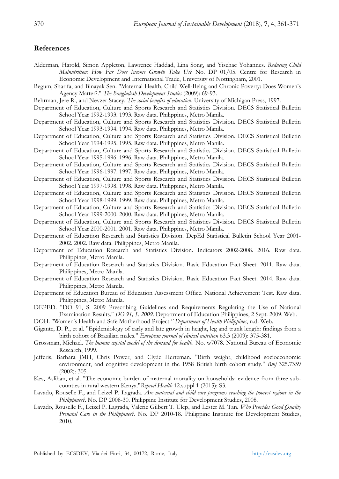#### **References**

- Alderman, Harold, Simon Appleton, Lawrence Haddad, Lina Song, and Yisehac Yohannes. *Reducing Child Malnutrition: How Far Does Income Growth Take Us?* No. DP 01/05. Centre for Research in Economic Development and International Trade, University of Nottingham, 2001.
- Begum, Sharifa, and Binayak Sen. "Maternal Health, Child Well-Being and Chronic Poverty: Does Women's Agency Matter?." *The Bangladesh Development Studies* (2009): 69-93.
- Behrman, Jere R., and Nevzer Stacey. *The social benefits of education*. University of Michigan Press, 1997.
- Department of Education, Culture and Sports Research and Statistics Division. DECS Statistical Bulletin School Year 1992-1993. 1993. Raw data. Philippines, Metro Manila.
- Department of Education, Culture and Sports Research and Statistics Division. DECS Statistical Bulletin School Year 1993-1994. 1994. Raw data. Philippines, Metro Manila.
- Department of Education, Culture and Sports Research and Statistics Division. DECS Statistical Bulletin School Year 1994-1995. 1995. Raw data. Philippines, Metro Manila.
- Department of Education, Culture and Sports Research and Statistics Division. DECS Statistical Bulletin School Year 1995-1996. 1996. Raw data. Philippines, Metro Manila.
- Department of Education, Culture and Sports Research and Statistics Division. DECS Statistical Bulletin School Year 1996-1997. 1997. Raw data. Philippines, Metro Manila.
- Department of Education, Culture and Sports Research and Statistics Division. DECS Statistical Bulletin School Year 1997-1998. 1998. Raw data. Philippines, Metro Manila.
- Department of Education, Culture and Sports Research and Statistics Division. DECS Statistical Bulletin School Year 1998-1999. 1999. Raw data. Philippines, Metro Manila.
- Department of Education, Culture and Sports Research and Statistics Division. DECS Statistical Bulletin School Year 1999-2000. 2000. Raw data. Philippines, Metro Manila.
- Department of Education, Culture and Sports Research and Statistics Division. DECS Statistical Bulletin School Year 2000-2001. 2001. Raw data. Philippines, Metro Manila.
- Department of Education Research and Statistics Division. DepEd Statistical Bulletin School Year 2001- 2002. 2002. Raw data. Philippines, Metro Manila.
- Department of Education Research and Statistics Division. Indicators 2002-2008. 2016. Raw data. Philippines, Metro Manila.
- Department of Education Research and Statistics Division. Basic Education Fact Sheet. 2011. Raw data. Philippines, Metro Manila.
- Department of Education Research and Statistics Division. Basic Education Fact Sheet. 2014. Raw data. Philippines, Metro Manila.
- Department of Education Bureau of Education Assessment Office. National Achievement Test. Raw data. Philippines, Metro Manila.
- DEPED. "DO 91, S. 2009 Prescribing Guidelines and Requirements Regulating the Use of National Examination Results." *DO 91, S. 2009*. Department of Education Philippines, 2 Sept. 2009. Web.
- DOH. "Women's Health and Safe Motherhood Project*." Department of Health Philippines*, n.d. Web.
- Gigante, D. P., et al. "Epidemiology of early and late growth in height, leg and trunk length: findings from a birth cohort of Brazilian males." *European journal of clinical nutrition* 63.3 (2009): 375-381.
- Grossman, Michael. *The human capital model of the demand for health*. No. w7078. National Bureau of Economic Research, 1999.
- Jefferis, Barbara JMH, Chris Power, and Clyde Hertzman. "Birth weight, childhood socioeconomic environment, and cognitive development in the 1958 British birth cohort study." *Bmj* 325.7359 (2002): 305.
- Kes, Aslihan, et al. "The economic burden of maternal mortality on households: evidence from three subcounties in rural western Kenya."*Reprod Health* 12.suppl 1 (2015): S3.
- Lavado, Rouselle F., and Leizel P. Lagrada. *Are maternal and child care programs reaching the poorest regions in the Philippines?*. No. DP 2008-30. Philippine Institute for Development Studies, 2008.
- Lavado, Rouselle F., Leizel P. Lagrada, Valerie Gilbert T. Ulep, and Lester M. Tan. *Who Provides Good Quality Prenatal Care in the Philippines?.* No. DP 2010-18. Philippine Institute for Development Studies, 2010.